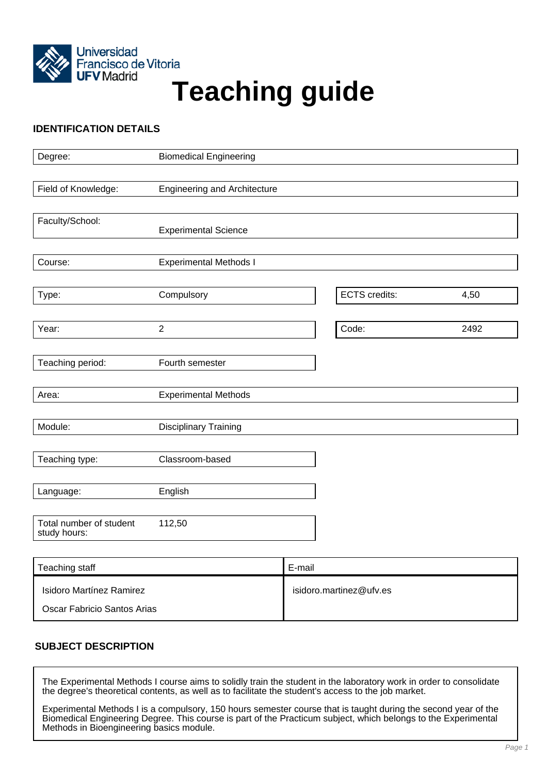

# Universidad<br>Francisco de Vitoria<br>**Teaching guide**

# **IDENTIFICATION DETAILS**

| Degree:                                 | <b>Biomedical Engineering</b>       |               |      |
|-----------------------------------------|-------------------------------------|---------------|------|
|                                         |                                     |               |      |
| Field of Knowledge:                     | <b>Engineering and Architecture</b> |               |      |
|                                         |                                     |               |      |
| Faculty/School:                         |                                     |               |      |
|                                         | <b>Experimental Science</b>         |               |      |
| Course:                                 | <b>Experimental Methods I</b>       |               |      |
|                                         |                                     |               |      |
| Type:                                   | Compulsory                          | ECTS credits: | 4,50 |
|                                         |                                     |               |      |
| Year:                                   | $\overline{2}$                      | Code:         | 2492 |
|                                         |                                     |               |      |
| Teaching period:                        | Fourth semester                     |               |      |
|                                         |                                     |               |      |
| Area:                                   | <b>Experimental Methods</b>         |               |      |
|                                         |                                     |               |      |
| Module:                                 | <b>Disciplinary Training</b>        |               |      |
|                                         |                                     |               |      |
| Teaching type:                          | Classroom-based                     |               |      |
|                                         |                                     |               |      |
| Language:                               | English                             |               |      |
|                                         |                                     |               |      |
| Total number of student<br>study hours: | 112,50                              |               |      |
|                                         |                                     |               |      |

| Teaching staff              | E-mail                  |
|-----------------------------|-------------------------|
| Isidoro Martínez Ramirez    | isidoro.martinez@ufv.es |
| Oscar Fabricio Santos Arias |                         |

# **SUBJECT DESCRIPTION**

The Experimental Methods I course aims to solidly train the student in the laboratory work in order to consolidate the degree's theoretical contents, as well as to facilitate the student's access to the job market.

Experimental Methods I is a compulsory, 150 hours semester course that is taught during the second year of the Biomedical Engineering Degree. This course is part of the Practicum subject, which belongs to the Experimental Methods in Bioengineering basics module.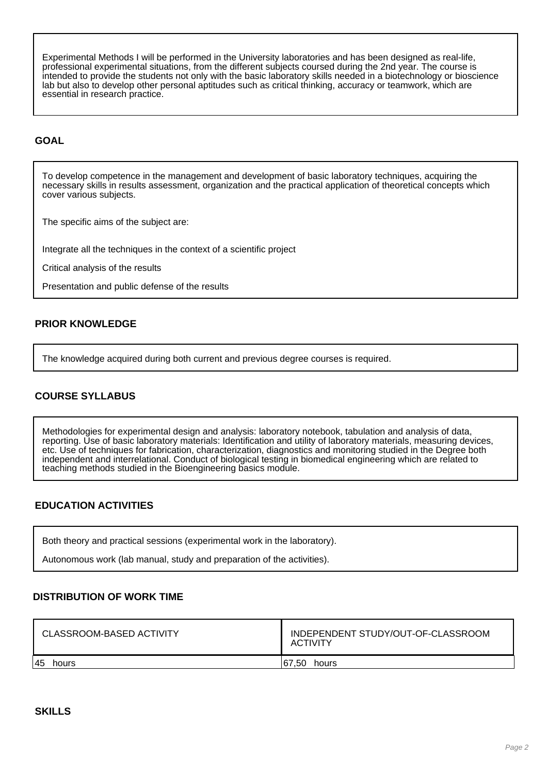Experimental Methods I will be performed in the University laboratories and has been designed as real-life, professional experimental situations, from the different subjects coursed during the 2nd year. The course is intended to provide the students not only with the basic laboratory skills needed in a biotechnology or bioscience lab but also to develop other personal aptitudes such as critical thinking, accuracy or teamwork, which are essential in research practice.

## **GOAL**

To develop competence in the management and development of basic laboratory techniques, acquiring the necessary skills in results assessment, organization and the practical application of theoretical concepts which cover various subjects.

The specific aims of the subject are:

Integrate all the techniques in the context of a scientific project

Critical analysis of the results

Presentation and public defense of the results

# **PRIOR KNOWLEDGE**

The knowledge acquired during both current and previous degree courses is required.

# **COURSE SYLLABUS**

Methodologies for experimental design and analysis: laboratory notebook, tabulation and analysis of data, reporting. Use of basic laboratory materials: Identification and utility of laboratory materials, measuring devices, etc. Use of techniques for fabrication, characterization, diagnostics and monitoring studied in the Degree both independent and interrelational. Conduct of biological testing in biomedical engineering which are related to teaching methods studied in the Bioengineering basics module.

# **EDUCATION ACTIVITIES**

Both theory and practical sessions (experimental work in the laboratory).

Autonomous work (lab manual, study and preparation of the activities).

### **DISTRIBUTION OF WORK TIME**

| CLASSROOM-BASED ACTIVITY | INDEPENDENT STUDY/OUT-OF-CLASSROOM<br><b>ACTIVITY</b> |
|--------------------------|-------------------------------------------------------|
| 45<br>hours              | 50.∶<br>167<br>hours                                  |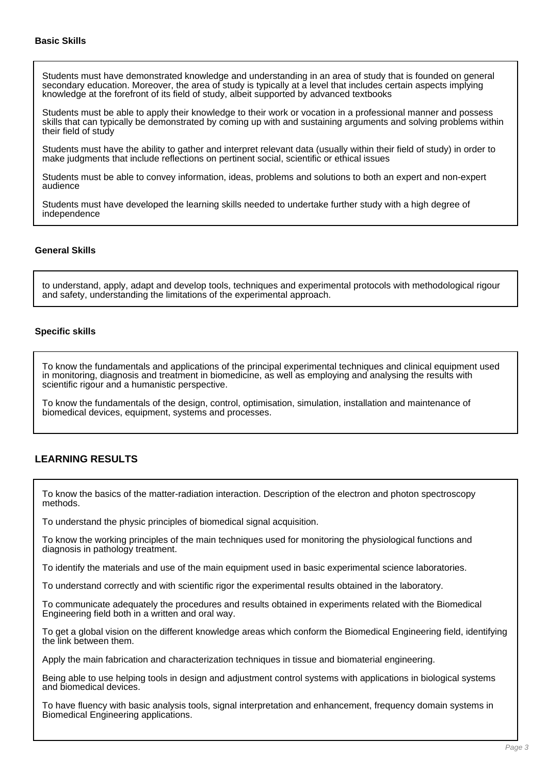Students must have demonstrated knowledge and understanding in an area of study that is founded on general secondary education. Moreover, the area of study is typically at a level that includes certain aspects implying knowledge at the forefront of its field of study, albeit supported by advanced textbooks

Students must be able to apply their knowledge to their work or vocation in a professional manner and possess skills that can typically be demonstrated by coming up with and sustaining arguments and solving problems within their field of study

Students must have the ability to gather and interpret relevant data (usually within their field of study) in order to make judgments that include reflections on pertinent social, scientific or ethical issues

Students must be able to convey information, ideas, problems and solutions to both an expert and non-expert audience

Students must have developed the learning skills needed to undertake further study with a high degree of independence

### **General Skills**

to understand, apply, adapt and develop tools, techniques and experimental protocols with methodological rigour and safety, understanding the limitations of the experimental approach.

### **Specific skills**

To know the fundamentals and applications of the principal experimental techniques and clinical equipment used in monitoring, diagnosis and treatment in biomedicine, as well as employing and analysing the results with scientific rigour and a humanistic perspective.

To know the fundamentals of the design, control, optimisation, simulation, installation and maintenance of biomedical devices, equipment, systems and processes.

### **LEARNING RESULTS**

To know the basics of the matter-radiation interaction. Description of the electron and photon spectroscopy methods.

To understand the physic principles of biomedical signal acquisition.

To know the working principles of the main techniques used for monitoring the physiological functions and diagnosis in pathology treatment.

To identify the materials and use of the main equipment used in basic experimental science laboratories.

To understand correctly and with scientific rigor the experimental results obtained in the laboratory.

To communicate adequately the procedures and results obtained in experiments related with the Biomedical Engineering field both in a written and oral way.

To get a global vision on the different knowledge areas which conform the Biomedical Engineering field, identifying the link between them.

Apply the main fabrication and characterization techniques in tissue and biomaterial engineering.

Being able to use helping tools in design and adjustment control systems with applications in biological systems and biomedical devices.

To have fluency with basic analysis tools, signal interpretation and enhancement, frequency domain systems in Biomedical Engineering applications.